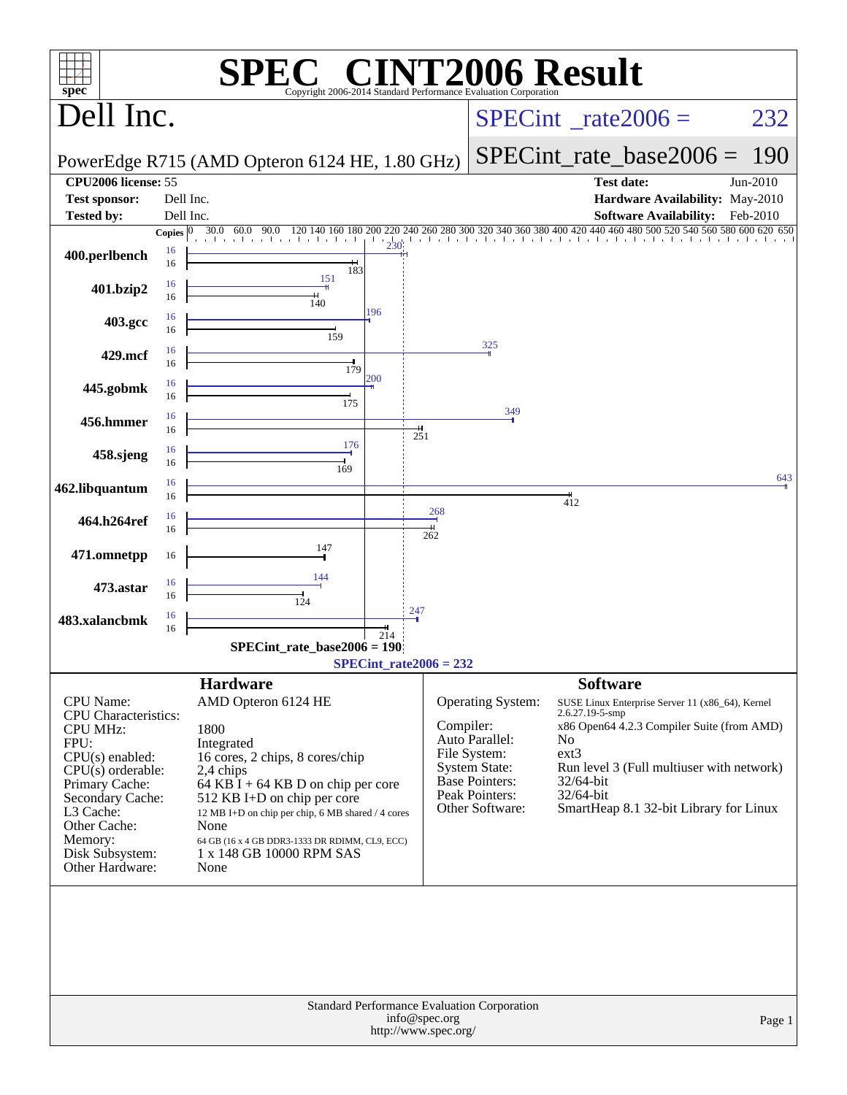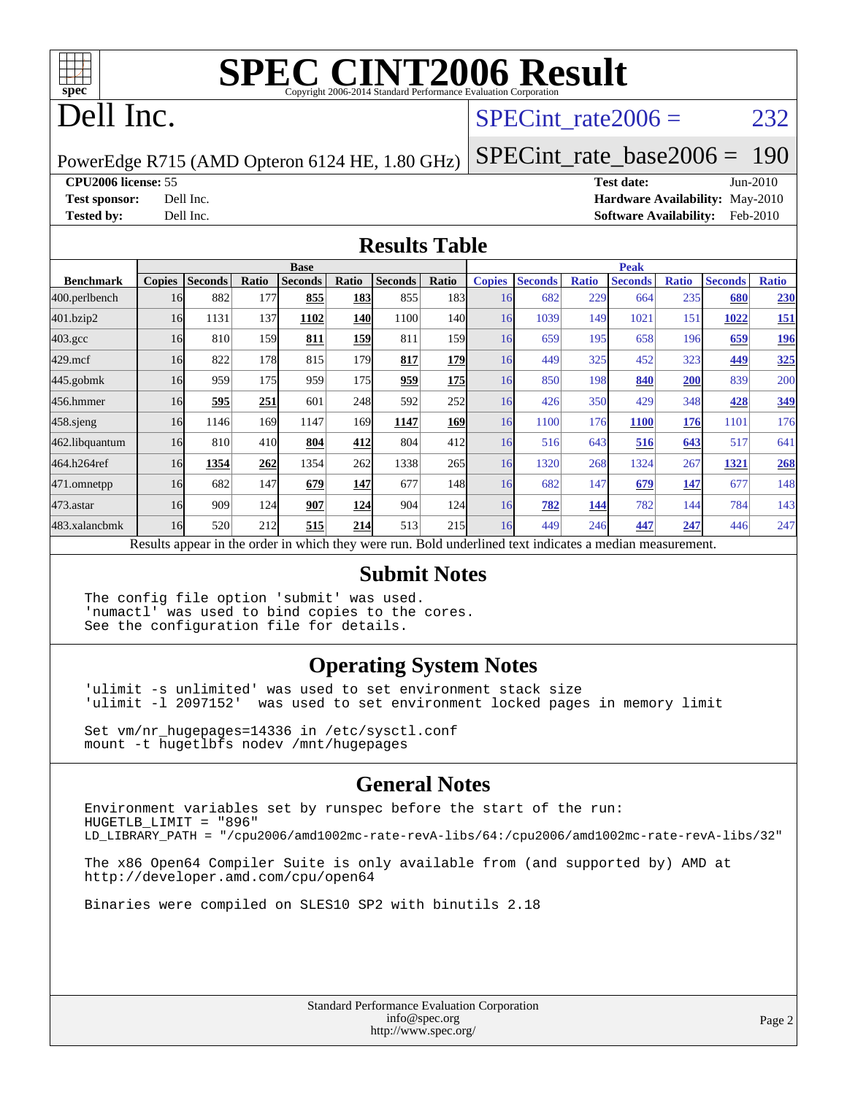

# **[SPEC CINT2006 Result](http://www.spec.org/auto/cpu2006/Docs/result-fields.html#SPECCINT2006Result)**

## Dell Inc.

#### SPECint rate $2006 = 232$

PowerEdge R715 (AMD Opteron 6124 HE, 1.80 GHz)

[SPECint\\_rate\\_base2006 =](http://www.spec.org/auto/cpu2006/Docs/result-fields.html#SPECintratebase2006) 190

**[CPU2006 license:](http://www.spec.org/auto/cpu2006/Docs/result-fields.html#CPU2006license)** 55 **[Test date:](http://www.spec.org/auto/cpu2006/Docs/result-fields.html#Testdate)** Jun-2010

**[Test sponsor:](http://www.spec.org/auto/cpu2006/Docs/result-fields.html#Testsponsor)** Dell Inc. **[Hardware Availability:](http://www.spec.org/auto/cpu2006/Docs/result-fields.html#HardwareAvailability)** May-2010 **[Tested by:](http://www.spec.org/auto/cpu2006/Docs/result-fields.html#Testedby)** Dell Inc. **[Software Availability:](http://www.spec.org/auto/cpu2006/Docs/result-fields.html#SoftwareAvailability)** Feb-2010

#### **[Results Table](http://www.spec.org/auto/cpu2006/Docs/result-fields.html#ResultsTable)**

|                    | <b>Base</b>   |                |              |                                                                                                          |             |                |                  |               | <b>Peak</b>    |              |                |              |                |              |  |
|--------------------|---------------|----------------|--------------|----------------------------------------------------------------------------------------------------------|-------------|----------------|------------------|---------------|----------------|--------------|----------------|--------------|----------------|--------------|--|
| <b>Benchmark</b>   | <b>Copies</b> | <b>Seconds</b> | <b>Ratio</b> | <b>Seconds</b>                                                                                           | Ratio       | <b>Seconds</b> | Ratio            | <b>Copies</b> | <b>Seconds</b> | <b>Ratio</b> | <b>Seconds</b> | <b>Ratio</b> | <b>Seconds</b> | <b>Ratio</b> |  |
| 400.perlbench      | 16            | 882            | 177          | 855                                                                                                      | 183         | 855            | 183 <sup> </sup> | 16            | 682            | 229          | 664            | 235          | 680            | 230          |  |
| 401.bzip2          | 16            | 1131           | 137          | 1102                                                                                                     | <b>140</b>  | 1100           | 140I             | 16            | 1039           | 149          | 1021           | 151          | 1022           | <u>151</u>   |  |
| $403.\mathrm{gcc}$ | 16            | 810            | 159          | 811                                                                                                      | <u> 159</u> | 811            | 159              | 16            | 659            | 195          | 658            | 196          | 659            | <u> 196</u>  |  |
| $429$ .mcf         | 16            | 822            | 178          | 815                                                                                                      | 179         | 817            | 179              | 16            | 449            | 325          | 452            | 323          | 449            | 325          |  |
| $445$ .gobm $k$    | 16            | 959            | 175          | 959                                                                                                      | 175         | 959            | <b>175</b>       | 16            | 850            | 198          | 840            | 200          | 839            | 200          |  |
| 456.hmmer          | 16            | 595            | 251          | 601                                                                                                      | 248         | 592            | 252l             | 16            | 426            | 350          | 429            | 348          | 428            | 349          |  |
| 458 sjeng          | 16            | 1146           | 169          | 1147                                                                                                     | 169         | 1147           | <b>169</b>       | 16            | 1100           | 176          | <b>1100</b>    | 176          | 1101           | 176          |  |
| 462.libquantum     | 16            | 810            | 410          | 804                                                                                                      | 412         | 804            | 412              | 16            | 516            | 643          | 516            | 643          | 517            | 641          |  |
| 464.h264ref        | 16            | 1354           | 262          | 1354                                                                                                     | 262         | 1338           | 265              | 16            | 1320           | 268          | 1324           | 267          | 1321           | 268          |  |
| 471.omnetpp        | 16            | 682            | 147          | 679                                                                                                      | 147         | 677            | 148              | 16            | 682            | 147          | 679            | 147          | 677            | 148          |  |
| $473.$ astar       | 16            | 909            | 124          | 907                                                                                                      | 124         | 904            | 124              | 16            | 782            | 144          | 782            | 144          | 784            | 143          |  |
| 483.xalancbmk      | 16            | 520            | 212          | 515                                                                                                      | 214         | 513            | 215              | 16            | 449            | 246          | 447            | 247          | 446            | 247          |  |
|                    |               |                |              | Results appear in the order in which they were run. Bold underlined text indicates a median measurement. |             |                |                  |               |                |              |                |              |                |              |  |

#### **[Submit Notes](http://www.spec.org/auto/cpu2006/Docs/result-fields.html#SubmitNotes)**

The config file option 'submit' was used. 'numactl' was used to bind copies to the cores. See the configuration file for details.

#### **[Operating System Notes](http://www.spec.org/auto/cpu2006/Docs/result-fields.html#OperatingSystemNotes)**

'ulimit -s unlimited' was used to set environment stack size 'ulimit -l 2097152' was used to set environment locked pages in memory limit

Set vm/nr\_hugepages=14336 in /etc/sysctl.conf mount -t hugetlbfs nodev /mnt/hugepages

#### **[General Notes](http://www.spec.org/auto/cpu2006/Docs/result-fields.html#GeneralNotes)**

Environment variables set by runspec before the start of the run: HUGETLB\_LIMIT = "896" LD\_LIBRARY\_PATH = "/cpu2006/amd1002mc-rate-revA-libs/64:/cpu2006/amd1002mc-rate-revA-libs/32"

The x86 Open64 Compiler Suite is only available from (and supported by) AMD at <http://developer.amd.com/cpu/open64>

Binaries were compiled on SLES10 SP2 with binutils 2.18

Standard Performance Evaluation Corporation [info@spec.org](mailto:info@spec.org) <http://www.spec.org/>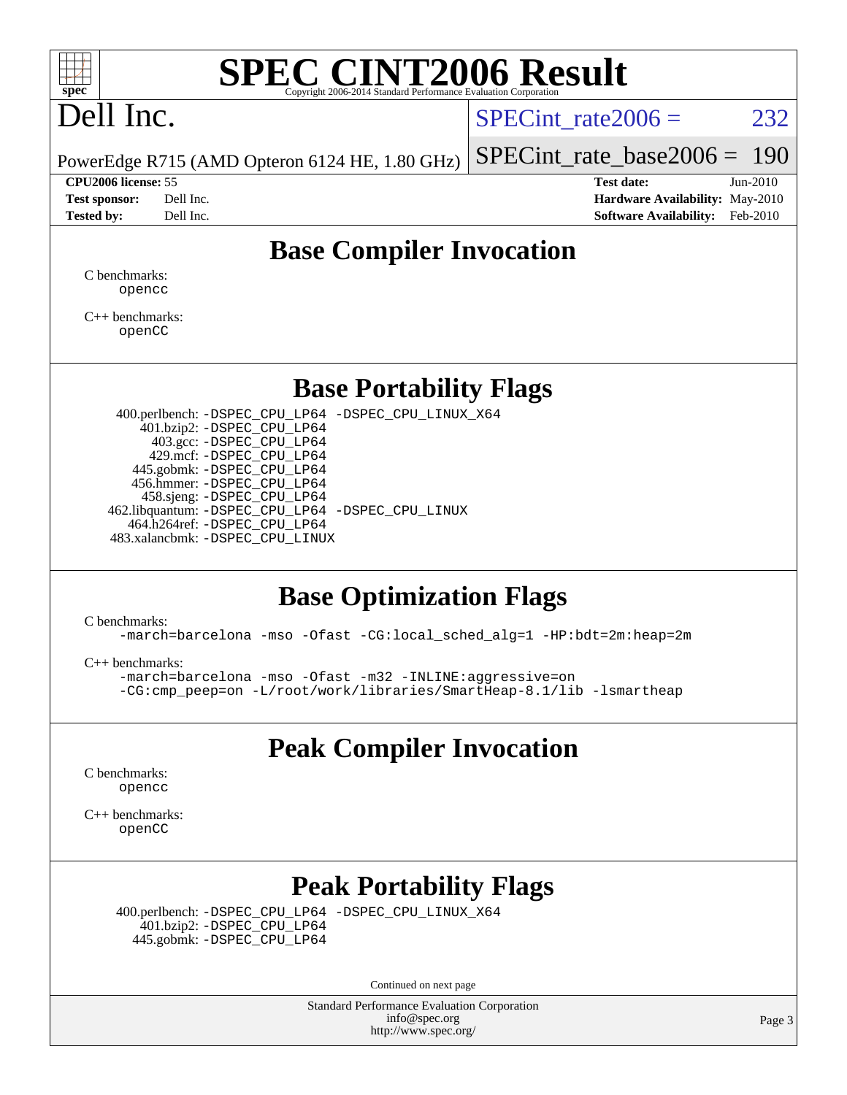

# **[SPEC CINT2006 Result](http://www.spec.org/auto/cpu2006/Docs/result-fields.html#SPECCINT2006Result)**

# Dell Inc.

SPECint rate $2006 = 232$ 

[SPECint\\_rate\\_base2006 =](http://www.spec.org/auto/cpu2006/Docs/result-fields.html#SPECintratebase2006) 190

PowerEdge R715 (AMD Opteron 6124 HE, 1.80 GHz)

**[CPU2006 license:](http://www.spec.org/auto/cpu2006/Docs/result-fields.html#CPU2006license)** 55 **[Test date:](http://www.spec.org/auto/cpu2006/Docs/result-fields.html#Testdate)** Jun-2010 **[Test sponsor:](http://www.spec.org/auto/cpu2006/Docs/result-fields.html#Testsponsor)** Dell Inc. **[Hardware Availability:](http://www.spec.org/auto/cpu2006/Docs/result-fields.html#HardwareAvailability)** May-2010 **[Tested by:](http://www.spec.org/auto/cpu2006/Docs/result-fields.html#Testedby)** Dell Inc. **[Software Availability:](http://www.spec.org/auto/cpu2006/Docs/result-fields.html#SoftwareAvailability)** Feb-2010

#### **[Base Compiler Invocation](http://www.spec.org/auto/cpu2006/Docs/result-fields.html#BaseCompilerInvocation)**

[C benchmarks](http://www.spec.org/auto/cpu2006/Docs/result-fields.html#Cbenchmarks): [opencc](http://www.spec.org/cpu2006/results/res2010q3/cpu2006-20100705-12205.flags.html#user_CCbase_Fopencc)

[C++ benchmarks:](http://www.spec.org/auto/cpu2006/Docs/result-fields.html#CXXbenchmarks) [openCC](http://www.spec.org/cpu2006/results/res2010q3/cpu2006-20100705-12205.flags.html#user_CXXbase_FopenCC)

#### **[Base Portability Flags](http://www.spec.org/auto/cpu2006/Docs/result-fields.html#BasePortabilityFlags)**

 400.perlbench: [-DSPEC\\_CPU\\_LP64](http://www.spec.org/cpu2006/results/res2010q3/cpu2006-20100705-12205.flags.html#b400.perlbench_basePORTABILITY_DSPEC_CPU_LP64) [-DSPEC\\_CPU\\_LINUX\\_X64](http://www.spec.org/cpu2006/results/res2010q3/cpu2006-20100705-12205.flags.html#b400.perlbench_baseCPORTABILITY_DSPEC_CPU_LINUX_X64) 401.bzip2: [-DSPEC\\_CPU\\_LP64](http://www.spec.org/cpu2006/results/res2010q3/cpu2006-20100705-12205.flags.html#suite_basePORTABILITY401_bzip2_DSPEC_CPU_LP64) 403.gcc: [-DSPEC\\_CPU\\_LP64](http://www.spec.org/cpu2006/results/res2010q3/cpu2006-20100705-12205.flags.html#suite_basePORTABILITY403_gcc_DSPEC_CPU_LP64) 429.mcf: [-DSPEC\\_CPU\\_LP64](http://www.spec.org/cpu2006/results/res2010q3/cpu2006-20100705-12205.flags.html#suite_basePORTABILITY429_mcf_DSPEC_CPU_LP64) 445.gobmk: [-DSPEC\\_CPU\\_LP64](http://www.spec.org/cpu2006/results/res2010q3/cpu2006-20100705-12205.flags.html#suite_basePORTABILITY445_gobmk_DSPEC_CPU_LP64) 456.hmmer: [-DSPEC\\_CPU\\_LP64](http://www.spec.org/cpu2006/results/res2010q3/cpu2006-20100705-12205.flags.html#suite_basePORTABILITY456_hmmer_DSPEC_CPU_LP64) 458.sjeng: [-DSPEC\\_CPU\\_LP64](http://www.spec.org/cpu2006/results/res2010q3/cpu2006-20100705-12205.flags.html#suite_basePORTABILITY458_sjeng_DSPEC_CPU_LP64) 462.libquantum: [-DSPEC\\_CPU\\_LP64](http://www.spec.org/cpu2006/results/res2010q3/cpu2006-20100705-12205.flags.html#suite_basePORTABILITY462_libquantum_DSPEC_CPU_LP64) [-DSPEC\\_CPU\\_LINUX](http://www.spec.org/cpu2006/results/res2010q3/cpu2006-20100705-12205.flags.html#b462.libquantum_baseCPORTABILITY_DSPEC_CPU_LINUX) 464.h264ref: [-DSPEC\\_CPU\\_LP64](http://www.spec.org/cpu2006/results/res2010q3/cpu2006-20100705-12205.flags.html#suite_basePORTABILITY464_h264ref_DSPEC_CPU_LP64) 483.xalancbmk: [-DSPEC\\_CPU\\_LINUX](http://www.spec.org/cpu2006/results/res2010q3/cpu2006-20100705-12205.flags.html#b483.xalancbmk_baseCXXPORTABILITY_DSPEC_CPU_LINUX)

#### **[Base Optimization Flags](http://www.spec.org/auto/cpu2006/Docs/result-fields.html#BaseOptimizationFlags)**

[C benchmarks](http://www.spec.org/auto/cpu2006/Docs/result-fields.html#Cbenchmarks):

[-march=barcelona](http://www.spec.org/cpu2006/results/res2010q3/cpu2006-20100705-12205.flags.html#user_CCbase_F-march_8ea39521cada96f307a04d0b8b9c6ffb) [-mso](http://www.spec.org/cpu2006/results/res2010q3/cpu2006-20100705-12205.flags.html#user_CCbase_F-mso) [-Ofast](http://www.spec.org/cpu2006/results/res2010q3/cpu2006-20100705-12205.flags.html#user_CCbase_F-Ofast) [-CG:local\\_sched\\_alg=1](http://www.spec.org/cpu2006/results/res2010q3/cpu2006-20100705-12205.flags.html#user_CCbase_F-CG:local_sched_alg_2175ca61f1a2717f1ec57b14995b9e7a) [-HP:bdt=2m:heap=2m](http://www.spec.org/cpu2006/results/res2010q3/cpu2006-20100705-12205.flags.html#user_CCbase_F-HUGEPAGE_855e97383b49831f390a2af16fe7202f)

[C++ benchmarks:](http://www.spec.org/auto/cpu2006/Docs/result-fields.html#CXXbenchmarks)

[-march=barcelona](http://www.spec.org/cpu2006/results/res2010q3/cpu2006-20100705-12205.flags.html#user_CXXbase_F-march_8ea39521cada96f307a04d0b8b9c6ffb) [-mso](http://www.spec.org/cpu2006/results/res2010q3/cpu2006-20100705-12205.flags.html#user_CXXbase_F-mso) [-Ofast](http://www.spec.org/cpu2006/results/res2010q3/cpu2006-20100705-12205.flags.html#user_CXXbase_F-Ofast) [-m32](http://www.spec.org/cpu2006/results/res2010q3/cpu2006-20100705-12205.flags.html#user_CXXbase_F-m32) [-INLINE:aggressive=on](http://www.spec.org/cpu2006/results/res2010q3/cpu2006-20100705-12205.flags.html#user_CXXbase_F-INLINE:aggressive_e14807c0a1e56a6a83cb25ab07c7ae8a) [-CG:cmp\\_peep=on](http://www.spec.org/cpu2006/results/res2010q3/cpu2006-20100705-12205.flags.html#user_CXXbase_F-CG:cmp_peep_ab90c979e95bee1f1f617a32622424ed) [-L/root/work/libraries/SmartHeap-8.1/lib -lsmartheap](http://www.spec.org/cpu2006/results/res2010q3/cpu2006-20100705-12205.flags.html#user_CXXbase_F-L_lib_directory_lsmartheap_9ab549d8336b8b0ffe7b94e3ae706265)

#### **[Peak Compiler Invocation](http://www.spec.org/auto/cpu2006/Docs/result-fields.html#PeakCompilerInvocation)**

[C benchmarks](http://www.spec.org/auto/cpu2006/Docs/result-fields.html#Cbenchmarks): [opencc](http://www.spec.org/cpu2006/results/res2010q3/cpu2006-20100705-12205.flags.html#user_CCpeak_Fopencc)

[C++ benchmarks:](http://www.spec.org/auto/cpu2006/Docs/result-fields.html#CXXbenchmarks) [openCC](http://www.spec.org/cpu2006/results/res2010q3/cpu2006-20100705-12205.flags.html#user_CXXpeak_FopenCC)

## **[Peak Portability Flags](http://www.spec.org/auto/cpu2006/Docs/result-fields.html#PeakPortabilityFlags)**

 400.perlbench: [-DSPEC\\_CPU\\_LP64](http://www.spec.org/cpu2006/results/res2010q3/cpu2006-20100705-12205.flags.html#b400.perlbench_peakPORTABILITY_DSPEC_CPU_LP64) [-DSPEC\\_CPU\\_LINUX\\_X64](http://www.spec.org/cpu2006/results/res2010q3/cpu2006-20100705-12205.flags.html#b400.perlbench_peakCPORTABILITY_DSPEC_CPU_LINUX_X64) 401.bzip2: [-DSPEC\\_CPU\\_LP64](http://www.spec.org/cpu2006/results/res2010q3/cpu2006-20100705-12205.flags.html#suite_peakPORTABILITY401_bzip2_DSPEC_CPU_LP64) 445.gobmk: [-DSPEC\\_CPU\\_LP64](http://www.spec.org/cpu2006/results/res2010q3/cpu2006-20100705-12205.flags.html#suite_peakPORTABILITY445_gobmk_DSPEC_CPU_LP64)

Continued on next page

Standard Performance Evaluation Corporation [info@spec.org](mailto:info@spec.org) <http://www.spec.org/>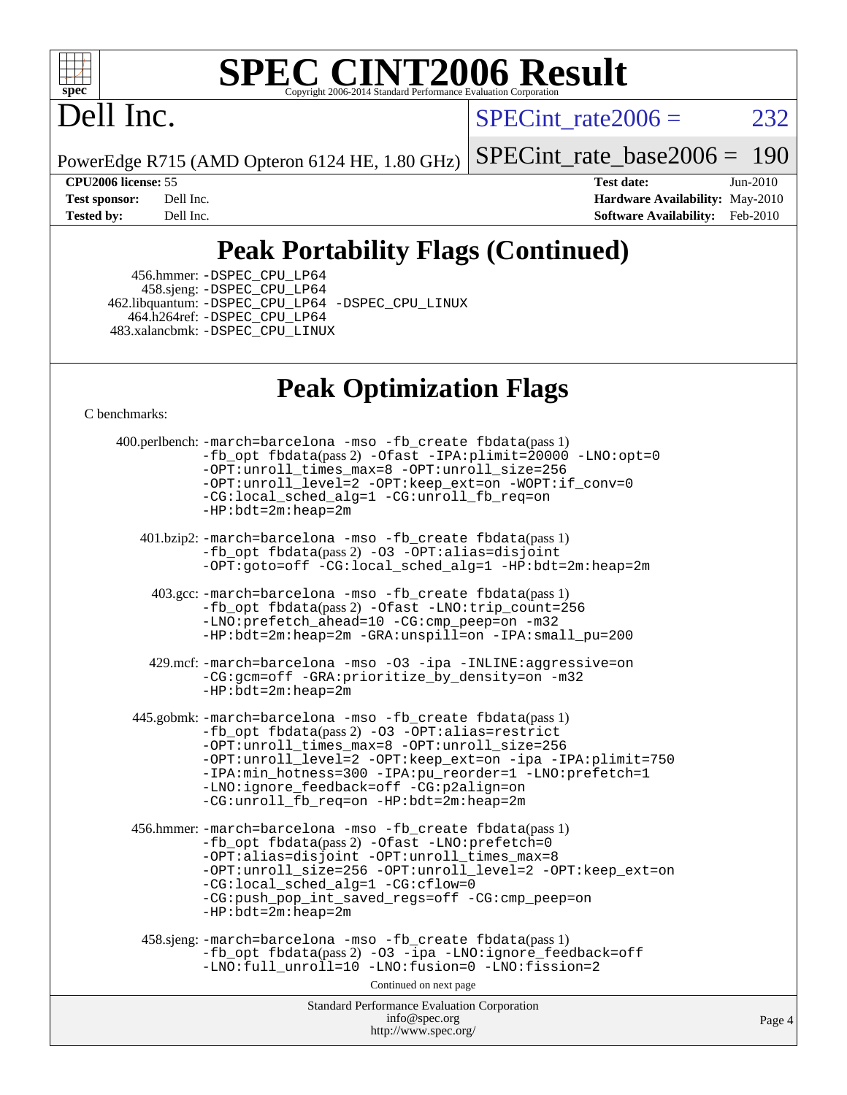

# **[SPEC CINT2006 Result](http://www.spec.org/auto/cpu2006/Docs/result-fields.html#SPECCINT2006Result)**

# Dell Inc.

SPECint rate $2006 = 232$ 

PowerEdge R715 (AMD Opteron 6124 HE, 1.80 GHz)

[SPECint\\_rate\\_base2006 =](http://www.spec.org/auto/cpu2006/Docs/result-fields.html#SPECintratebase2006) 190

**[CPU2006 license:](http://www.spec.org/auto/cpu2006/Docs/result-fields.html#CPU2006license)** 55 **[Test date:](http://www.spec.org/auto/cpu2006/Docs/result-fields.html#Testdate)** Jun-2010 **[Test sponsor:](http://www.spec.org/auto/cpu2006/Docs/result-fields.html#Testsponsor)** Dell Inc. **[Hardware Availability:](http://www.spec.org/auto/cpu2006/Docs/result-fields.html#HardwareAvailability)** May-2010 **[Tested by:](http://www.spec.org/auto/cpu2006/Docs/result-fields.html#Testedby)** Dell Inc. **[Software Availability:](http://www.spec.org/auto/cpu2006/Docs/result-fields.html#SoftwareAvailability)** Feb-2010

## **[Peak Portability Flags \(Continued\)](http://www.spec.org/auto/cpu2006/Docs/result-fields.html#PeakPortabilityFlags)**

 456.hmmer: [-DSPEC\\_CPU\\_LP64](http://www.spec.org/cpu2006/results/res2010q3/cpu2006-20100705-12205.flags.html#suite_peakPORTABILITY456_hmmer_DSPEC_CPU_LP64) 458.sjeng: [-DSPEC\\_CPU\\_LP64](http://www.spec.org/cpu2006/results/res2010q3/cpu2006-20100705-12205.flags.html#suite_peakPORTABILITY458_sjeng_DSPEC_CPU_LP64) 462.libquantum: [-DSPEC\\_CPU\\_LP64](http://www.spec.org/cpu2006/results/res2010q3/cpu2006-20100705-12205.flags.html#suite_peakPORTABILITY462_libquantum_DSPEC_CPU_LP64) [-DSPEC\\_CPU\\_LINUX](http://www.spec.org/cpu2006/results/res2010q3/cpu2006-20100705-12205.flags.html#b462.libquantum_peakCPORTABILITY_DSPEC_CPU_LINUX) 464.h264ref: [-DSPEC\\_CPU\\_LP64](http://www.spec.org/cpu2006/results/res2010q3/cpu2006-20100705-12205.flags.html#suite_peakPORTABILITY464_h264ref_DSPEC_CPU_LP64) 483.xalancbmk: [-DSPEC\\_CPU\\_LINUX](http://www.spec.org/cpu2006/results/res2010q3/cpu2006-20100705-12205.flags.html#b483.xalancbmk_peakCXXPORTABILITY_DSPEC_CPU_LINUX)

#### **[Peak Optimization Flags](http://www.spec.org/auto/cpu2006/Docs/result-fields.html#PeakOptimizationFlags)**

[C benchmarks](http://www.spec.org/auto/cpu2006/Docs/result-fields.html#Cbenchmarks):

Standard Performance Evaluation Corporation [info@spec.org](mailto:info@spec.org) <http://www.spec.org/> Page 4 400.perlbench: [-march=barcelona](http://www.spec.org/cpu2006/results/res2010q3/cpu2006-20100705-12205.flags.html#user_peakCCLD400_perlbench_F-march_8ea39521cada96f307a04d0b8b9c6ffb) [-mso](http://www.spec.org/cpu2006/results/res2010q3/cpu2006-20100705-12205.flags.html#user_peakCCLD400_perlbench_F-mso) [-fb\\_create fbdata](http://www.spec.org/cpu2006/results/res2010q3/cpu2006-20100705-12205.flags.html#user_peakPASS1_CFLAGSPASS1_LDFLAGS400_perlbench_F-fb_create_filename)(pass 1) [-fb\\_opt fbdata](http://www.spec.org/cpu2006/results/res2010q3/cpu2006-20100705-12205.flags.html#user_peakPASS2_CFLAGSPASS2_LDFLAGS400_perlbench_F-fb_opt_filename)(pass 2) [-Ofast](http://www.spec.org/cpu2006/results/res2010q3/cpu2006-20100705-12205.flags.html#user_peakCOPTIMIZE400_perlbench_F-Ofast) [-IPA:plimit=20000](http://www.spec.org/cpu2006/results/res2010q3/cpu2006-20100705-12205.flags.html#user_peakCOPTIMIZE400_perlbench_F-IPA:plimit_89e6fd9421ace0d5dab294a0a1b8be33) [-LNO:opt=0](http://www.spec.org/cpu2006/results/res2010q3/cpu2006-20100705-12205.flags.html#user_peakCOPTIMIZE400_perlbench_F-LNO:opt_b91e8b13d06f45039299c6496cc69a5f) [-OPT:unroll\\_times\\_max=8](http://www.spec.org/cpu2006/results/res2010q3/cpu2006-20100705-12205.flags.html#user_peakCOPTIMIZE400_perlbench_F-OPT:unroll_times_max_1ad8852298ca2c36a68b2d007aae0e22) [-OPT:unroll\\_size=256](http://www.spec.org/cpu2006/results/res2010q3/cpu2006-20100705-12205.flags.html#user_peakCOPTIMIZE400_perlbench_F-OPT:unroll_size_dfa492f42f50f580c3837c8b22d14f27) [-OPT:unroll\\_level=2](http://www.spec.org/cpu2006/results/res2010q3/cpu2006-20100705-12205.flags.html#user_peakCOPTIMIZE400_perlbench_F-OPT:unroll_level_2cd767e66711a193dd7aad8ffe1e4d20) [-OPT:keep\\_ext=on](http://www.spec.org/cpu2006/results/res2010q3/cpu2006-20100705-12205.flags.html#user_peakCOPTIMIZE400_perlbench_F-OPT:keep_ext_4dbb9969188886aadf10437ce9577910) [-WOPT:if\\_conv=0](http://www.spec.org/cpu2006/results/res2010q3/cpu2006-20100705-12205.flags.html#user_peakCOPTIMIZE400_perlbench_F-WOPT:if_conv_3763321a358ff896b32d6152fd83e145) [-CG:local\\_sched\\_alg=1](http://www.spec.org/cpu2006/results/res2010q3/cpu2006-20100705-12205.flags.html#user_peakCOPTIMIZE400_perlbench_F-CG:local_sched_alg_2175ca61f1a2717f1ec57b14995b9e7a) [-CG:unroll\\_fb\\_req=on](http://www.spec.org/cpu2006/results/res2010q3/cpu2006-20100705-12205.flags.html#user_peakCOPTIMIZE400_perlbench_F-CG:unroll_fb_req_6669f978801820a53c68eded7a4f0485) [-HP:bdt=2m:heap=2m](http://www.spec.org/cpu2006/results/res2010q3/cpu2006-20100705-12205.flags.html#user_peakCOPTIMIZE400_perlbench_F-HUGEPAGE_855e97383b49831f390a2af16fe7202f) 401.bzip2: [-march=barcelona](http://www.spec.org/cpu2006/results/res2010q3/cpu2006-20100705-12205.flags.html#user_peakCCLD401_bzip2_F-march_8ea39521cada96f307a04d0b8b9c6ffb) [-mso](http://www.spec.org/cpu2006/results/res2010q3/cpu2006-20100705-12205.flags.html#user_peakCCLD401_bzip2_F-mso) [-fb\\_create fbdata](http://www.spec.org/cpu2006/results/res2010q3/cpu2006-20100705-12205.flags.html#user_peakPASS1_CFLAGSPASS1_LDFLAGS401_bzip2_F-fb_create_filename)(pass 1) [-fb\\_opt fbdata](http://www.spec.org/cpu2006/results/res2010q3/cpu2006-20100705-12205.flags.html#user_peakPASS2_CFLAGSPASS2_LDFLAGS401_bzip2_F-fb_opt_filename)(pass 2) [-O3](http://www.spec.org/cpu2006/results/res2010q3/cpu2006-20100705-12205.flags.html#user_peakCOPTIMIZE401_bzip2_F-O3) [-OPT:alias=disjoint](http://www.spec.org/cpu2006/results/res2010q3/cpu2006-20100705-12205.flags.html#user_peakCOPTIMIZE401_bzip2_F-OPT:alias_af85d624bc8c113f27b06a81a9df063d) [-OPT:goto=off](http://www.spec.org/cpu2006/results/res2010q3/cpu2006-20100705-12205.flags.html#user_peakCOPTIMIZE401_bzip2_F-OPT:goto_b8760493db7ddb90acc865b6d90bb5de) [-CG:local\\_sched\\_alg=1](http://www.spec.org/cpu2006/results/res2010q3/cpu2006-20100705-12205.flags.html#user_peakCOPTIMIZE401_bzip2_F-CG:local_sched_alg_2175ca61f1a2717f1ec57b14995b9e7a) [-HP:bdt=2m:heap=2m](http://www.spec.org/cpu2006/results/res2010q3/cpu2006-20100705-12205.flags.html#user_peakCOPTIMIZE401_bzip2_F-HUGEPAGE_855e97383b49831f390a2af16fe7202f) 403.gcc: [-march=barcelona](http://www.spec.org/cpu2006/results/res2010q3/cpu2006-20100705-12205.flags.html#user_peakCCLD403_gcc_F-march_8ea39521cada96f307a04d0b8b9c6ffb) [-mso](http://www.spec.org/cpu2006/results/res2010q3/cpu2006-20100705-12205.flags.html#user_peakCCLD403_gcc_F-mso) [-fb\\_create fbdata](http://www.spec.org/cpu2006/results/res2010q3/cpu2006-20100705-12205.flags.html#user_peakPASS1_CFLAGSPASS1_LDFLAGS403_gcc_F-fb_create_filename)(pass 1) [-fb\\_opt fbdata](http://www.spec.org/cpu2006/results/res2010q3/cpu2006-20100705-12205.flags.html#user_peakPASS2_CFLAGSPASS2_LDFLAGS403_gcc_F-fb_opt_filename)(pass 2) [-Ofast](http://www.spec.org/cpu2006/results/res2010q3/cpu2006-20100705-12205.flags.html#user_peakCOPTIMIZE403_gcc_F-Ofast) [-LNO:trip\\_count=256](http://www.spec.org/cpu2006/results/res2010q3/cpu2006-20100705-12205.flags.html#user_peakCOPTIMIZE403_gcc_F-LNO:trip_count_fda57506a3ecf9651535a9a8fb03b434) [-LNO:prefetch\\_ahead=10](http://www.spec.org/cpu2006/results/res2010q3/cpu2006-20100705-12205.flags.html#user_peakCOPTIMIZE403_gcc_F-LNO:prefetch_ahead_dd92ad2fa0fda9c22e1b1c18e5a8e304) [-CG:cmp\\_peep=on](http://www.spec.org/cpu2006/results/res2010q3/cpu2006-20100705-12205.flags.html#user_peakCOPTIMIZE403_gcc_F-CG:cmp_peep_ab90c979e95bee1f1f617a32622424ed) [-m32](http://www.spec.org/cpu2006/results/res2010q3/cpu2006-20100705-12205.flags.html#user_peakCOPTIMIZE403_gcc_F-m32) [-HP:bdt=2m:heap=2m](http://www.spec.org/cpu2006/results/res2010q3/cpu2006-20100705-12205.flags.html#user_peakCOPTIMIZE403_gcc_F-HUGEPAGE_855e97383b49831f390a2af16fe7202f) [-GRA:unspill=on](http://www.spec.org/cpu2006/results/res2010q3/cpu2006-20100705-12205.flags.html#user_peakCOPTIMIZE403_gcc_F-GRA:unspill_1a6c98043856890311246be72b057593) [-IPA:small\\_pu=200](http://www.spec.org/cpu2006/results/res2010q3/cpu2006-20100705-12205.flags.html#user_peakCOPTIMIZE403_gcc_F-IPA:small_pu_9e003d10925fc6bd9336e5337d9e3a22) 429.mcf: [-march=barcelona](http://www.spec.org/cpu2006/results/res2010q3/cpu2006-20100705-12205.flags.html#user_peakCCLD429_mcf_F-march_8ea39521cada96f307a04d0b8b9c6ffb) [-mso](http://www.spec.org/cpu2006/results/res2010q3/cpu2006-20100705-12205.flags.html#user_peakCCLD429_mcf_F-mso) [-O3](http://www.spec.org/cpu2006/results/res2010q3/cpu2006-20100705-12205.flags.html#user_peakCOPTIMIZE429_mcf_F-O3) [-ipa](http://www.spec.org/cpu2006/results/res2010q3/cpu2006-20100705-12205.flags.html#user_peakCOPTIMIZE429_mcf_F-ipa) [-INLINE:aggressive=on](http://www.spec.org/cpu2006/results/res2010q3/cpu2006-20100705-12205.flags.html#user_peakCOPTIMIZE429_mcf_F-INLINE:aggressive_e14807c0a1e56a6a83cb25ab07c7ae8a) [-CG:gcm=off](http://www.spec.org/cpu2006/results/res2010q3/cpu2006-20100705-12205.flags.html#user_peakCOPTIMIZE429_mcf_F-CG:gcm_3afc0477d086a9a9afc1ccea25488f06) [-GRA:prioritize\\_by\\_density=on](http://www.spec.org/cpu2006/results/res2010q3/cpu2006-20100705-12205.flags.html#user_peakCOPTIMIZE429_mcf_F-GRA:prioritize_by_density_342c4fb73fe18829f920373223f095a5) [-m32](http://www.spec.org/cpu2006/results/res2010q3/cpu2006-20100705-12205.flags.html#user_peakCOPTIMIZE429_mcf_F-m32)  $-HP:\overline{bdt}=2m:heap=2m$  445.gobmk: [-march=barcelona](http://www.spec.org/cpu2006/results/res2010q3/cpu2006-20100705-12205.flags.html#user_peakCCLD445_gobmk_F-march_8ea39521cada96f307a04d0b8b9c6ffb) [-mso](http://www.spec.org/cpu2006/results/res2010q3/cpu2006-20100705-12205.flags.html#user_peakCCLD445_gobmk_F-mso) [-fb\\_create fbdata](http://www.spec.org/cpu2006/results/res2010q3/cpu2006-20100705-12205.flags.html#user_peakPASS1_CFLAGSPASS1_LDFLAGS445_gobmk_F-fb_create_filename)(pass 1) [-fb\\_opt fbdata](http://www.spec.org/cpu2006/results/res2010q3/cpu2006-20100705-12205.flags.html#user_peakPASS2_CFLAGSPASS2_LDFLAGS445_gobmk_F-fb_opt_filename)(pass 2) [-O3](http://www.spec.org/cpu2006/results/res2010q3/cpu2006-20100705-12205.flags.html#user_peakCOPTIMIZE445_gobmk_F-O3) [-OPT:alias=restrict](http://www.spec.org/cpu2006/results/res2010q3/cpu2006-20100705-12205.flags.html#user_peakCOPTIMIZE445_gobmk_F-OPT:alias_f74f95116c143118d3b7a69b27e837c8) [-OPT:unroll\\_times\\_max=8](http://www.spec.org/cpu2006/results/res2010q3/cpu2006-20100705-12205.flags.html#user_peakCOPTIMIZE445_gobmk_F-OPT:unroll_times_max_1ad8852298ca2c36a68b2d007aae0e22) [-OPT:unroll\\_size=256](http://www.spec.org/cpu2006/results/res2010q3/cpu2006-20100705-12205.flags.html#user_peakCOPTIMIZE445_gobmk_F-OPT:unroll_size_dfa492f42f50f580c3837c8b22d14f27) [-OPT:unroll\\_level=2](http://www.spec.org/cpu2006/results/res2010q3/cpu2006-20100705-12205.flags.html#user_peakCOPTIMIZE445_gobmk_F-OPT:unroll_level_2cd767e66711a193dd7aad8ffe1e4d20) [-OPT:keep\\_ext=on](http://www.spec.org/cpu2006/results/res2010q3/cpu2006-20100705-12205.flags.html#user_peakCOPTIMIZE445_gobmk_F-OPT:keep_ext_4dbb9969188886aadf10437ce9577910) [-ipa](http://www.spec.org/cpu2006/results/res2010q3/cpu2006-20100705-12205.flags.html#user_peakCOPTIMIZE445_gobmk_F-ipa) [-IPA:plimit=750](http://www.spec.org/cpu2006/results/res2010q3/cpu2006-20100705-12205.flags.html#user_peakCOPTIMIZE445_gobmk_F-IPA:plimit_d12b7edf4800746ab824f3a01a8ce117) [-IPA:min\\_hotness=300](http://www.spec.org/cpu2006/results/res2010q3/cpu2006-20100705-12205.flags.html#user_peakCOPTIMIZE445_gobmk_F-IPA:min_hotness_a22c9a7839d9fc5b8df1b53fa3adec91) [-IPA:pu\\_reorder=1](http://www.spec.org/cpu2006/results/res2010q3/cpu2006-20100705-12205.flags.html#user_peakCOPTIMIZE445_gobmk_F-IPA:pu_reorder_05e26b42f44c94362cdc386b470e6fd6) [-LNO:prefetch=1](http://www.spec.org/cpu2006/results/res2010q3/cpu2006-20100705-12205.flags.html#user_peakCOPTIMIZE445_gobmk_F-LNO:prefetch_0e04e5068d643a77d1eab8e86f5e8697) [-LNO:ignore\\_feedback=off](http://www.spec.org/cpu2006/results/res2010q3/cpu2006-20100705-12205.flags.html#user_peakCOPTIMIZE445_gobmk_F-LNO:ignore_feedback_1d6d06f39185b277a955c10dfd0a9a73) [-CG:p2align=on](http://www.spec.org/cpu2006/results/res2010q3/cpu2006-20100705-12205.flags.html#user_peakCOPTIMIZE445_gobmk_F-CG:p2align_eb931ffc34bd15f54521908a4451bda2) [-CG:unroll\\_fb\\_req=on](http://www.spec.org/cpu2006/results/res2010q3/cpu2006-20100705-12205.flags.html#user_peakCOPTIMIZE445_gobmk_F-CG:unroll_fb_req_6669f978801820a53c68eded7a4f0485) [-HP:bdt=2m:heap=2m](http://www.spec.org/cpu2006/results/res2010q3/cpu2006-20100705-12205.flags.html#user_peakCOPTIMIZE445_gobmk_F-HUGEPAGE_855e97383b49831f390a2af16fe7202f) 456.hmmer: [-march=barcelona](http://www.spec.org/cpu2006/results/res2010q3/cpu2006-20100705-12205.flags.html#user_peakCCLD456_hmmer_F-march_8ea39521cada96f307a04d0b8b9c6ffb) [-mso](http://www.spec.org/cpu2006/results/res2010q3/cpu2006-20100705-12205.flags.html#user_peakCCLD456_hmmer_F-mso) [-fb\\_create fbdata](http://www.spec.org/cpu2006/results/res2010q3/cpu2006-20100705-12205.flags.html#user_peakPASS1_CFLAGSPASS1_LDFLAGS456_hmmer_F-fb_create_filename)(pass 1) [-fb\\_opt fbdata](http://www.spec.org/cpu2006/results/res2010q3/cpu2006-20100705-12205.flags.html#user_peakPASS2_CFLAGSPASS2_LDFLAGS456_hmmer_F-fb_opt_filename)(pass 2) [-Ofast](http://www.spec.org/cpu2006/results/res2010q3/cpu2006-20100705-12205.flags.html#user_peakCOPTIMIZE456_hmmer_F-Ofast) [-LNO:prefetch=0](http://www.spec.org/cpu2006/results/res2010q3/cpu2006-20100705-12205.flags.html#user_peakCOPTIMIZE456_hmmer_F-LNO:prefetch_697fbd9f9feab3edac5397fc7beec995) [-OPT:alias=disjoint](http://www.spec.org/cpu2006/results/res2010q3/cpu2006-20100705-12205.flags.html#user_peakCOPTIMIZE456_hmmer_F-OPT:alias_af85d624bc8c113f27b06a81a9df063d) [-OPT:unroll\\_times\\_max=8](http://www.spec.org/cpu2006/results/res2010q3/cpu2006-20100705-12205.flags.html#user_peakCOPTIMIZE456_hmmer_F-OPT:unroll_times_max_1ad8852298ca2c36a68b2d007aae0e22) [-OPT:unroll\\_size=256](http://www.spec.org/cpu2006/results/res2010q3/cpu2006-20100705-12205.flags.html#user_peakCOPTIMIZE456_hmmer_F-OPT:unroll_size_dfa492f42f50f580c3837c8b22d14f27) [-OPT:unroll\\_level=2](http://www.spec.org/cpu2006/results/res2010q3/cpu2006-20100705-12205.flags.html#user_peakCOPTIMIZE456_hmmer_F-OPT:unroll_level_2cd767e66711a193dd7aad8ffe1e4d20) [-OPT:keep\\_ext=on](http://www.spec.org/cpu2006/results/res2010q3/cpu2006-20100705-12205.flags.html#user_peakCOPTIMIZE456_hmmer_F-OPT:keep_ext_4dbb9969188886aadf10437ce9577910) [-CG:local\\_sched\\_alg=1](http://www.spec.org/cpu2006/results/res2010q3/cpu2006-20100705-12205.flags.html#user_peakCOPTIMIZE456_hmmer_F-CG:local_sched_alg_2175ca61f1a2717f1ec57b14995b9e7a) [-CG:cflow=0](http://www.spec.org/cpu2006/results/res2010q3/cpu2006-20100705-12205.flags.html#user_peakCOPTIMIZE456_hmmer_F-CG:cflow_75ba632a6a95410c488fc5f313a16b42) [-CG:push\\_pop\\_int\\_saved\\_regs=off](http://www.spec.org/cpu2006/results/res2010q3/cpu2006-20100705-12205.flags.html#user_peakCOPTIMIZE456_hmmer_F-CG:push_pop_int_saved_regs_ae095e4f8df972ca26c2c920052f27bf) [-CG:cmp\\_peep=on](http://www.spec.org/cpu2006/results/res2010q3/cpu2006-20100705-12205.flags.html#user_peakCOPTIMIZE456_hmmer_F-CG:cmp_peep_ab90c979e95bee1f1f617a32622424ed) [-HP:bdt=2m:heap=2m](http://www.spec.org/cpu2006/results/res2010q3/cpu2006-20100705-12205.flags.html#user_peakCOPTIMIZE456_hmmer_F-HUGEPAGE_855e97383b49831f390a2af16fe7202f) 458.sjeng: [-march=barcelona](http://www.spec.org/cpu2006/results/res2010q3/cpu2006-20100705-12205.flags.html#user_peakCCLD458_sjeng_F-march_8ea39521cada96f307a04d0b8b9c6ffb) [-mso](http://www.spec.org/cpu2006/results/res2010q3/cpu2006-20100705-12205.flags.html#user_peakCCLD458_sjeng_F-mso) [-fb\\_create fbdata](http://www.spec.org/cpu2006/results/res2010q3/cpu2006-20100705-12205.flags.html#user_peakPASS1_CFLAGSPASS1_LDFLAGS458_sjeng_F-fb_create_filename)(pass 1) [-fb\\_opt fbdata](http://www.spec.org/cpu2006/results/res2010q3/cpu2006-20100705-12205.flags.html#user_peakPASS2_CFLAGSPASS2_LDFLAGS458_sjeng_F-fb_opt_filename)(pass 2) [-O3](http://www.spec.org/cpu2006/results/res2010q3/cpu2006-20100705-12205.flags.html#user_peakCOPTIMIZE458_sjeng_F-O3) [-ipa](http://www.spec.org/cpu2006/results/res2010q3/cpu2006-20100705-12205.flags.html#user_peakCOPTIMIZE458_sjeng_F-ipa) [-LNO:ignore\\_feedback=off](http://www.spec.org/cpu2006/results/res2010q3/cpu2006-20100705-12205.flags.html#user_peakCOPTIMIZE458_sjeng_F-LNO:ignore_feedback_1d6d06f39185b277a955c10dfd0a9a73) -LNO:full unroll=10 [-LNO:fusion=0](http://www.spec.org/cpu2006/results/res2010q3/cpu2006-20100705-12205.flags.html#user_peakCOPTIMIZE458_sjeng_F-LNO:fusion_780806b4edf541d16351f44d74cd5b96) [-LNO:fission=2](http://www.spec.org/cpu2006/results/res2010q3/cpu2006-20100705-12205.flags.html#user_peakCOPTIMIZE458_sjeng_F-LNO:fission_5cab2649267e6bc8b61d14b4fdbc5ab6) Continued on next page